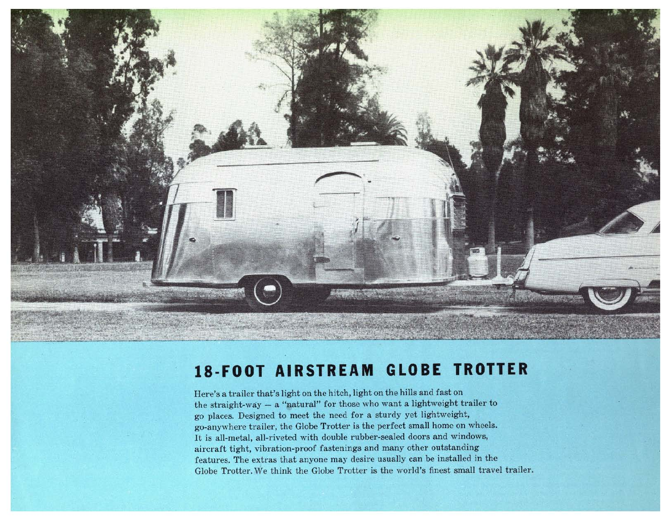

## **18-FOOT AIRSTREAM GLOBE TROTTER**

Here's a trailer that's light on the hitch, light on the hills and fast on the straight-way  $-$  a "natural" for those who want a lightweight trailer to go places. Designed to meet the need for a sturdy yet lightweight, go-anywhere trailer, the Globe Trotter is the perfect small home on wheels. It is all-metal, all-riveted with double rubber-sealed doors and windows, aircraft tight. vibration-proof fastenings and many other outstanding features. The extras that anyone may desire usually can be installed in the Globe Trotter. We think the Globe Trotter is the world's finest small travel trailer.